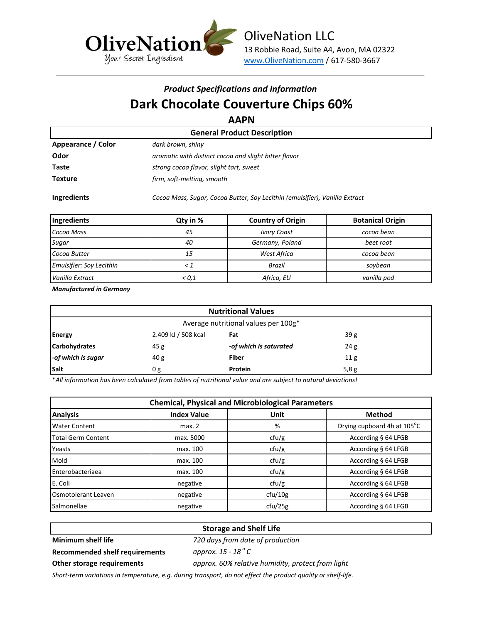

## *Product Specifications and Information* **Dark Chocolate Couverture Chips 60%**

**AAPN**

|                                    | .                                                     |  |  |  |
|------------------------------------|-------------------------------------------------------|--|--|--|
| <b>General Product Description</b> |                                                       |  |  |  |
| Appearance / Color                 | dark brown, shiny                                     |  |  |  |
| Odor                               | aromatic with distinct cocoa and slight bitter flavor |  |  |  |
| Taste                              | strong cocoa flavor, slight tart, sweet               |  |  |  |
| <b>Texture</b>                     | firm, soft-melting, smooth                            |  |  |  |
|                                    |                                                       |  |  |  |

**Ingredients** *Cocoa Mass, Sugar, Cocoa Butter, Soy Lecithin (emulsifier), Vanilla Extract*

| Ingredients              | Qty in % | <b>Country of Origin</b> | <b>Botanical Origin</b> |
|--------------------------|----------|--------------------------|-------------------------|
| Cocoa Mass               | 45       | <b>Ivory Coast</b>       | cocoa bean              |
| Sugar                    | 40       | Germany, Poland          | beet root               |
| Cocoa Butter             | 15       | West Africa              | cocoa bean              |
| Emulsifier: Soy Lecithin |          | <b>Brazil</b>            | soybean                 |
| Vanilla Extract          | < 0.1    | Africa, EU               | vanilla pod             |

*Manufactured in Germany*

| <b>Nutritional Values</b>            |                     |                        |                 |  |
|--------------------------------------|---------------------|------------------------|-----------------|--|
| Average nutritional values per 100g* |                     |                        |                 |  |
| <b>Energy</b>                        | 2.409 kJ / 508 kcal | Fat                    | 39g             |  |
| <b>Carbohydrates</b>                 | 45 g                | -of which is saturated | 24g             |  |
| -of which is sugar                   | 40 g                | <b>Fiber</b>           | 11 <sub>g</sub> |  |
| Salt                                 | 0 g                 | <b>Protein</b>         | 5,8g            |  |

\**All information has been calculated from tables of nutritional value and are subject to natural deviations!*

| <b>Chemical, Physical and Microbiological Parameters</b> |                    |         |                             |  |  |
|----------------------------------------------------------|--------------------|---------|-----------------------------|--|--|
| <b>Analysis</b>                                          | <b>Index Value</b> | Unit    | <b>Method</b>               |  |  |
| <b>Water Content</b>                                     | max. 2             | %       | Drying cupboard 4h at 105°C |  |  |
| <b>Total Germ Content</b>                                | max. 5000          | ctu/g   | According § 64 LFGB         |  |  |
| Yeasts                                                   | max. 100           | ctu/g   | According § 64 LFGB         |  |  |
| Mold                                                     | max. 100           | ctu/g   | According § 64 LFGB         |  |  |
| Enterobacteriaea                                         | max. 100           | ctu/g   | According § 64 LFGB         |  |  |
| E. Coli                                                  | negative           | ctu/g   | According § 64 LFGB         |  |  |
| Osmotolerant Leaven                                      | negative           | ctu/10g | According § 64 LFGB         |  |  |
| Salmonellae                                              | negative           | cfu/25g | According § 64 LFGB         |  |  |

### **Storage and Shelf Life**

### **Minimum shelf life** *720 days from date of production*

**Recommended shelf requirements** *approx. 15 - 18 <sup>o</sup>*

approx. 15 - 18<sup>°</sup> C **Other storage requirements** *approx. 60% relative humidity, protect from light*

*Short-term variations in temperature, e.g. during transport, do not effect the product quality or shelf-life.*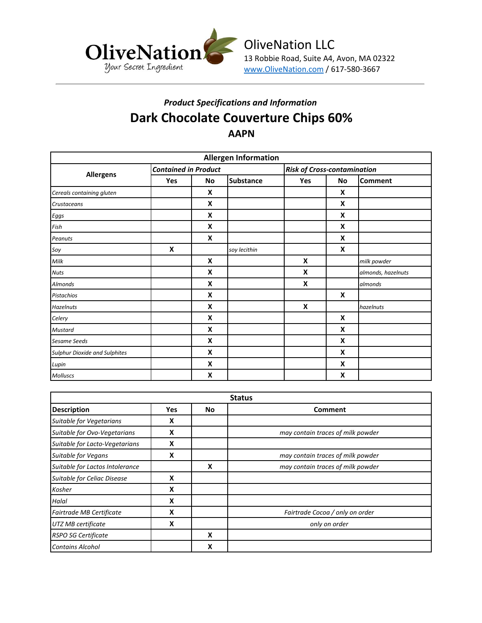

# *Product Specifications and Information* **Dark Chocolate Couverture Chips 60% AAPN**

| <b>Allergen Information</b>          |                             |    |                  |                                    |    |                    |
|--------------------------------------|-----------------------------|----|------------------|------------------------------------|----|--------------------|
| <b>Allergens</b>                     | <b>Contained in Product</b> |    |                  | <b>Risk of Cross-contamination</b> |    |                    |
|                                      | Yes                         | No | <b>Substance</b> | Yes                                | No | <b>Comment</b>     |
| Cereals containing gluten            |                             | X  |                  |                                    | X  |                    |
| Crustaceans                          |                             | X  |                  |                                    | X  |                    |
| Eggs                                 |                             | X  |                  |                                    | X  |                    |
| Fish                                 |                             | X  |                  |                                    | X  |                    |
| Peanuts                              |                             | X  |                  |                                    | X  |                    |
| Soy                                  | X                           |    | soy lecithin     |                                    | X  |                    |
| Milk                                 |                             | X  |                  | X                                  |    | milk powder        |
| <b>Nuts</b>                          |                             | X  |                  | X                                  |    | almonds, hazelnuts |
| <b>Almonds</b>                       |                             | X  |                  | X                                  |    | almonds            |
| <b>Pistachios</b>                    |                             | X  |                  |                                    | X  |                    |
| <b>Hazelnuts</b>                     |                             | X  |                  | X                                  |    | hazelnuts          |
| Celery                               |                             | X  |                  |                                    | X  |                    |
| <b>Mustard</b>                       |                             | X  |                  |                                    | X  |                    |
| Sesame Seeds                         |                             | X  |                  |                                    | X  |                    |
| <b>Sulphur Dioxide and Sulphites</b> |                             | X  |                  |                                    | X  |                    |
| Lupin                                |                             | X  |                  |                                    | X  |                    |
| Molluscs                             |                             | X  |                  |                                    | X  |                    |

| <b>Status</b>                   |            |    |                                   |  |  |
|---------------------------------|------------|----|-----------------------------------|--|--|
| <b>Description</b>              | <b>Yes</b> | No | <b>Comment</b>                    |  |  |
| Suitable for Vegetarians        | X          |    |                                   |  |  |
| Suitable for Ovo-Vegetarians    | X          |    | may contain traces of milk powder |  |  |
| Suitable for Lacto-Vegetarians  | X          |    |                                   |  |  |
| <b>Suitable for Vegans</b>      | X          |    | may contain traces of milk powder |  |  |
| Suitable for Lactos Intolerance |            | X  | may contain traces of milk powder |  |  |
| Suitable for Celiac Disease     | X          |    |                                   |  |  |
| Kosher                          | X          |    |                                   |  |  |
| Halal                           | X          |    |                                   |  |  |
| Fairtrade MB Certificate        | X          |    | Fairtrade Cocoa / only on order   |  |  |
| UTZ MB certificate              | X          |    | only on order                     |  |  |
| <b>RSPO SG Certificate</b>      |            | X  |                                   |  |  |
| <b>Contains Alcohol</b>         |            | x  |                                   |  |  |